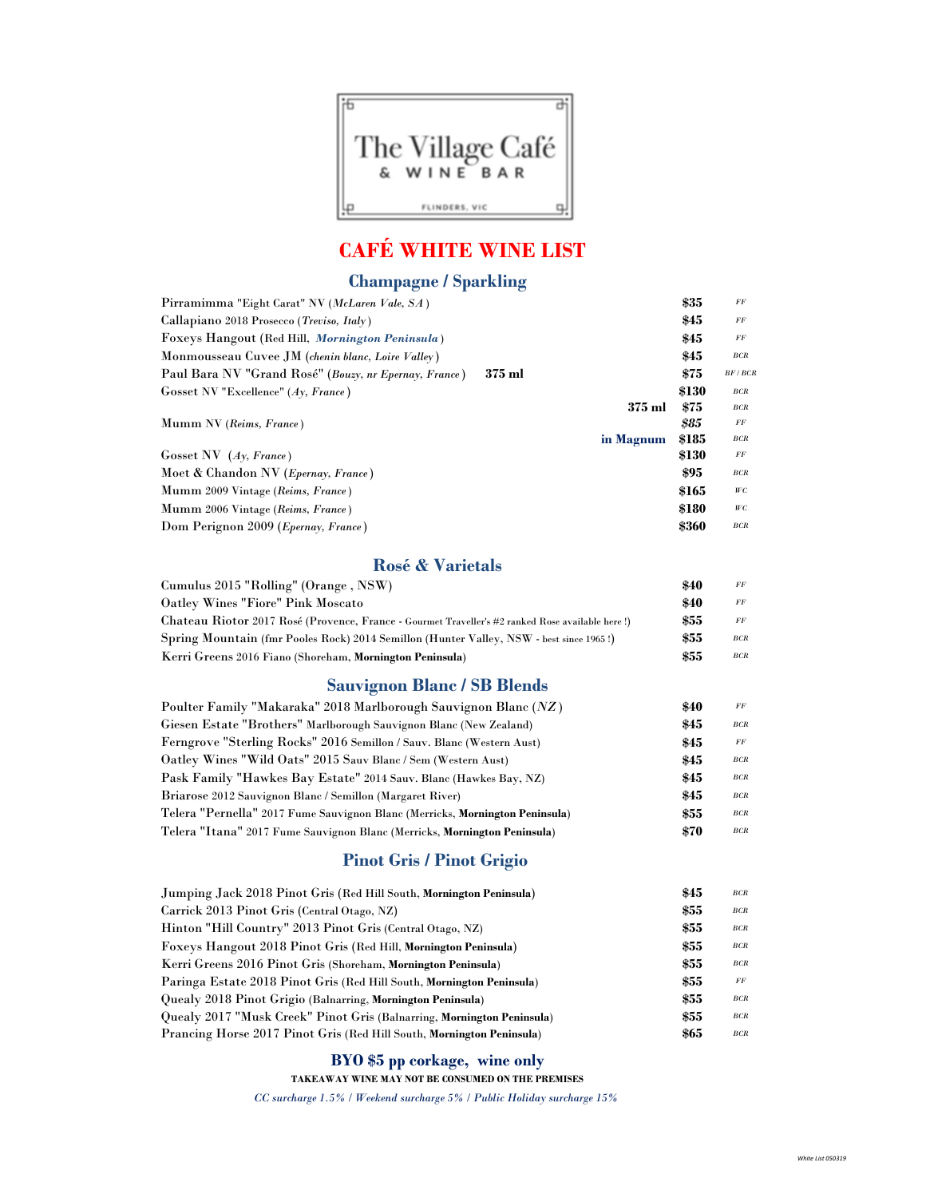

## CAFÉ WHITE WINE LIST

## Champagne / Sparkling

| Pirramimma "Eight Carat" NV (McLaren Vale, SA)                    | \$35  | FF     |
|-------------------------------------------------------------------|-------|--------|
| Callapiano 2018 Prosecco (Treviso, Italy)                         | \$45  | FF     |
| Foxeys Hangout (Red Hill, Mornington Peninsula)                   | \$45  | FF     |
| Monmousseau Cuvee JM (chenin blanc, Loire Valley)                 | \$45  | BCR    |
| $375$ ml<br>Paul Bara NV "Grand Rosé" (Bouzy, nr Epernay, France) | \$75  | BF/BCR |
| Gosset NV "Excellence" $(Ay, France)$                             | \$130 | BCR    |
| 375 ml                                                            | \$75  | BCR    |
| Mumm NV (Reims, France)                                           | \$85  | FF     |
| in Magnum                                                         | \$185 | BCR    |
| Gosset NV $(Ay, France)$                                          | \$130 | FF     |
| Moet & Chandon NV ( <i>Epernay, France</i> )                      | \$95  | BCR    |
| Mumm 2009 Vintage (Reims, France)                                 | \$165 | WC     |
| Mumm 2006 Vintage (Reims, France)                                 | \$180 | WC     |
| Dom Perignon 2009 ( <i>Epernay, France</i> )                      | \$360 | BCR    |

#### Rosé & Varietals

| Cumulus 2015 "Rolling" (Orange, NSW)                                                             | \$40 | FF  |
|--------------------------------------------------------------------------------------------------|------|-----|
| Oatley Wines "Fiore" Pink Moscato                                                                | \$40 | FF  |
| Chateau Riotor 2017 Rosé (Provence, France - Gourmet Traveller's #2 ranked Rose available here!) | \$55 | FF  |
| Spring Mountain (fmr Pooles Rock) 2014 Semillon (Hunter Valley, NSW - best since 1965!)          | \$55 | BCR |
| Kerri Greens 2016 Fiano (Shoreham, Mornington Peninsula)                                         | \$55 | BCR |

### Sauvignon Blanc / SB Blends

| Poulter Family "Makaraka" 2018 Marlborough Sauvignon Blanc (NZ)              | \$40 | $\overline{FF}$ |
|------------------------------------------------------------------------------|------|-----------------|
| Giesen Estate "Brothers" Marlborough Sauvignon Blanc (New Zealand)           | \$45 | BCR             |
| Ferngrove "Sterling Rocks" 2016 Semillon / Sauv. Blanc (Western Aust)        | \$45 | FF              |
| Oatley Wines "Wild Oats" 2015 Sauv Blanc / Sem (Western Aust)                | \$45 | BCR             |
| Pask Family "Hawkes Bay Estate" 2014 Sauv. Blanc (Hawkes Bay, NZ)            | \$45 | BCR             |
| Briarose 2012 Sauvignon Blanc / Semillon (Margaret River)                    | \$45 | BCR             |
| Telera "Pernella" 2017 Fume Sauvignon Blanc (Merricks, Mornington Peninsula) | \$55 | BCR             |
| Telera "Itana" 2017 Fume Sauvignon Blanc (Merricks, Mornington Peninsula)    | \$70 | $_{BCR}$        |

## Pinot Gris / Pinot Grigio

| Jumping Jack 2018 Pinot Gris (Red Hill South, Mornington Peninsula)    | \$45 | BCR      |
|------------------------------------------------------------------------|------|----------|
| Carrick 2013 Pinot Gris (Central Otago, NZ)                            | \$55 | BCR      |
| Hinton "Hill Country" 2013 Pinot Gris (Central Otago, NZ)              | \$55 | BCR      |
| Foxeys Hangout 2018 Pinot Gris (Red Hill, Mornington Peninsula)        | \$55 | $_{BCR}$ |
| Kerri Greens 2016 Pinot Gris (Shoreham, Mornington Peninsula)          | \$55 | BCR      |
| Paringa Estate 2018 Pinot Gris (Red Hill South, Mornington Peninsula)  | \$55 | FF       |
| Quealy 2018 Pinot Grigio (Balnarring, Mornington Peninsula)            | \$55 | BCR      |
| Quealy 2017 "Musk Creek" Pinot Gris (Balnarring, Mornington Peninsula) | \$55 | BCR      |
| Prancing Horse 2017 Pinot Gris (Red Hill South, Mornington Peninsula)  | \$65 | BCR      |

### BYO \$5 pp corkage, wine only

TAKEAWAY WINE MAY NOT BE CONSUMED ON THE PREMISES

 $CC$  surcharge  $1.5\%$  /  $Weekend$  surcharge  $5\%$  / Public Holiday surcharge  $15\%$